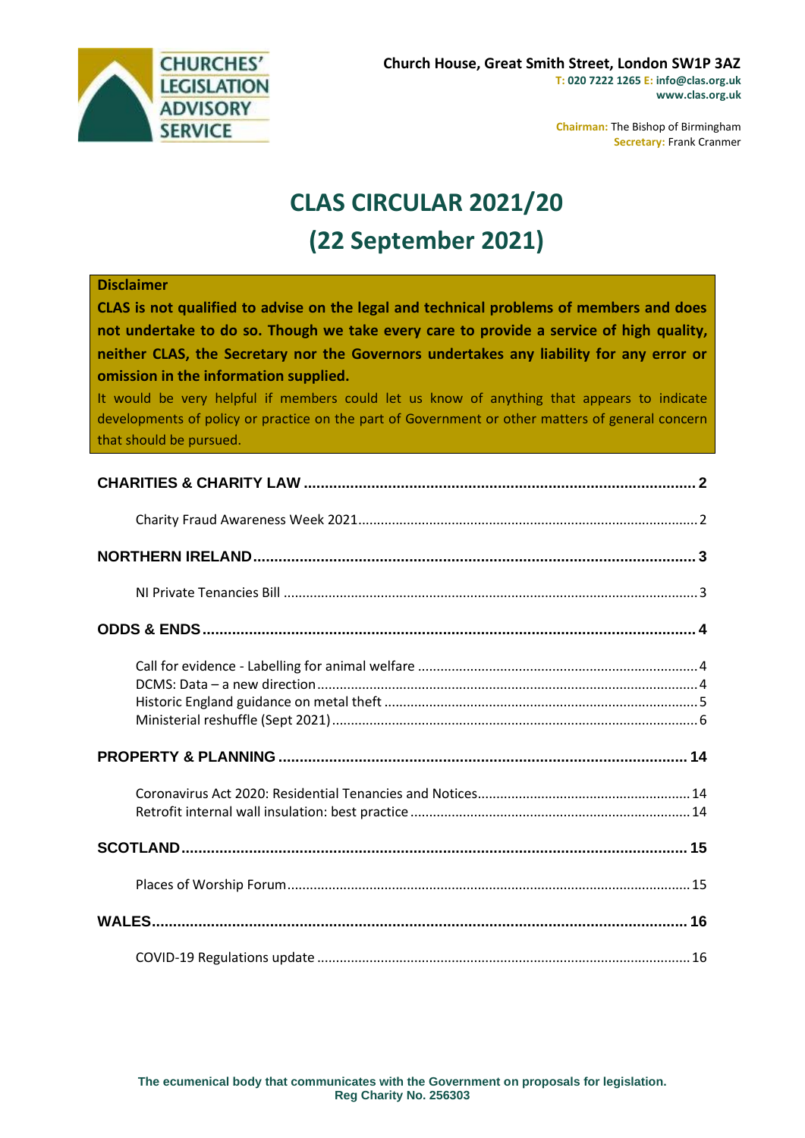

**Chairman:** The Bishop of Birmingham **Secretary:** Frank Cranmer

# **CLAS CIRCULAR 2021/20 (22 September 2021)**

#### **Disclaimer**

**CLAS is not qualified to advise on the legal and technical problems of members and does not undertake to do so. Though we take every care to provide a service of high quality, neither CLAS, the Secretary nor the Governors undertakes any liability for any error or omission in the information supplied.**

It would be very helpful if members could let us know of anything that appears to indicate developments of policy or practice on the part of Government or other matters of general concern that should be pursued.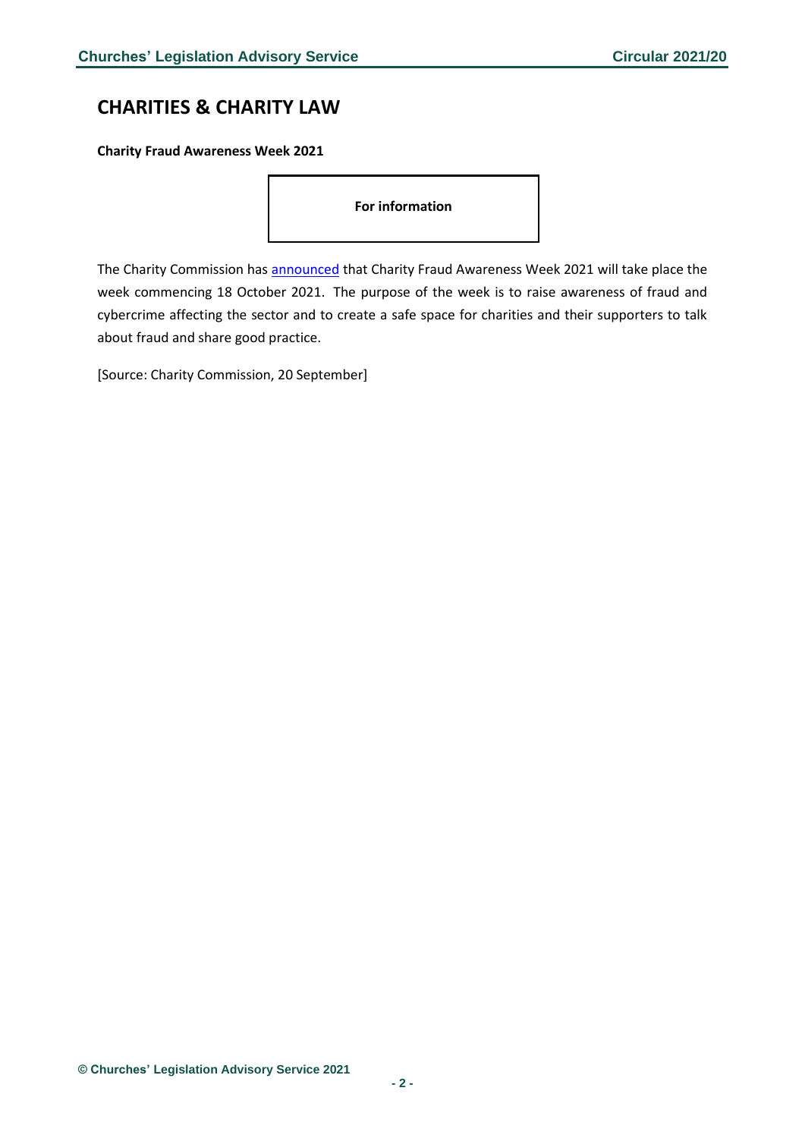# <span id="page-1-0"></span>**CHARITIES & CHARITY LAW**

<span id="page-1-1"></span>**Charity Fraud Awareness Week 2021**

**For information**

The Charity Commission has [announced](https://www.gov.uk/government/news/charity-fraud-awareness-week-2021?utm_medium=email&utm_campaign=govuk-notifications&utm_source=87e9787c-2ffd-4502-9e98-a968318e6157&utm_content=daily) that Charity Fraud Awareness Week 2021 will take place the week commencing 18 October 2021. The purpose of the week is to raise awareness of fraud and cybercrime affecting the sector and to create a safe space for charities and their supporters to talk about fraud and share good practice.

[Source: Charity Commission, 20 September]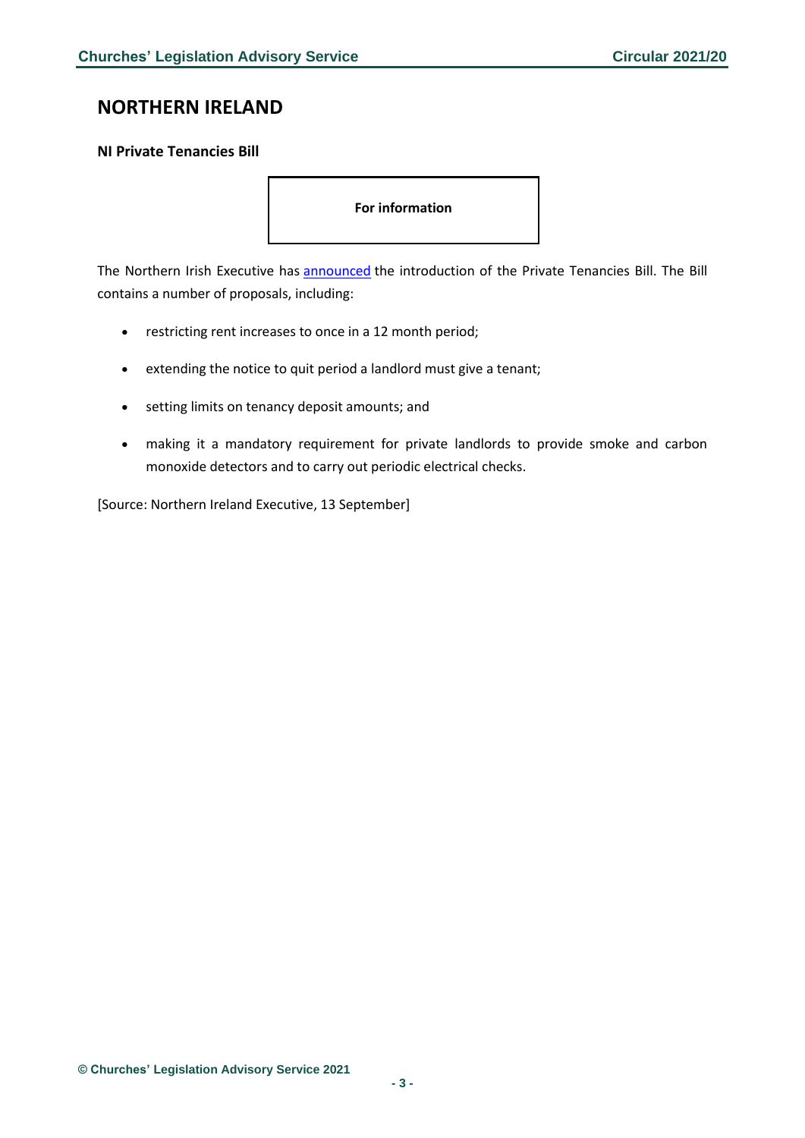# <span id="page-2-0"></span>**NORTHERN IRELAND**

### <span id="page-2-1"></span>**NI Private Tenancies Bill**

**For information**

The Northern Irish Executive has **[announced](https://www.communities-ni.gov.uk/news/communities-minister-hargey-furthers-bill-protect-private-tenants)** the introduction of the Private Tenancies Bill. The Bill contains a number of proposals, including:

- restricting rent increases to once in a 12 month period;
- extending the notice to quit period a landlord must give a tenant;
- setting limits on tenancy deposit amounts; and
- making it a mandatory requirement for private landlords to provide smoke and carbon monoxide detectors and to carry out periodic electrical checks.

[Source: Northern Ireland Executive, 13 September]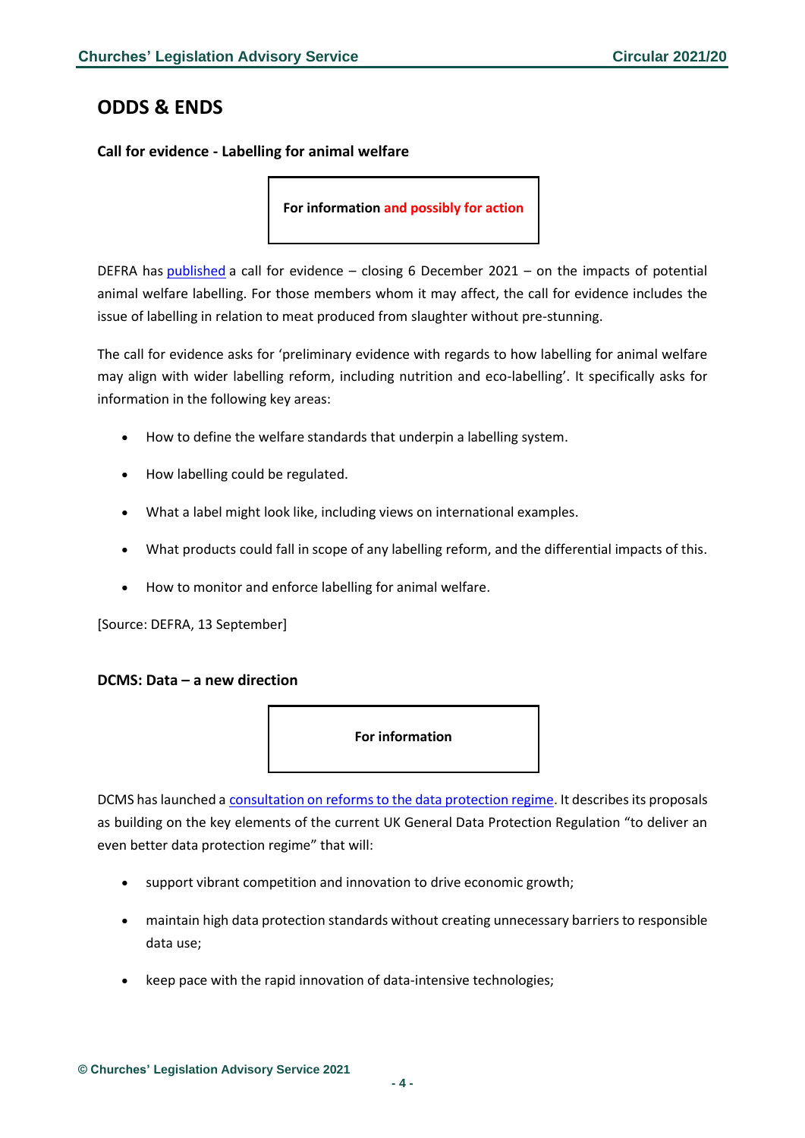# <span id="page-3-0"></span>**ODDS & ENDS**

<span id="page-3-1"></span>**Call for evidence - Labelling for animal welfare**

**For information and possibly for action**

DEFRA has [published](https://consult.defra.gov.uk/animal-welfare-market-interventions-and-labelling/labelling-for-animal-welfare/) a call for evidence – closing 6 December 2021 – on the impacts of potential animal welfare labelling. For those members whom it may affect, the call for evidence includes the issue of labelling in relation to meat produced from slaughter without pre-stunning.

The call for evidence asks for 'preliminary evidence with regards to how labelling for animal welfare may align with wider labelling reform, including nutrition and eco-labelling'. It specifically asks for information in the following key areas:

- How to define the welfare standards that underpin a labelling system.
- How labelling could be regulated.
- What a label might look like, including views on international examples.
- What products could fall in scope of any labelling reform, and the differential impacts of this.
- How to monitor and enforce labelling for animal welfare.

[Source: DEFRA, 13 September]

#### <span id="page-3-2"></span>**DCMS: Data – a new direction**



DCMS has launched a [consultation on reforms to the data protection regime.](https://assets.publishing.service.gov.uk/government/uploads/system/uploads/attachment_data/file/1016395/Data_Reform_Consultation_Document__Accessible_.pdf) It describes its proposals as building on the key elements of the current UK General Data Protection Regulation "to deliver an even better data protection regime" that will:

- support vibrant competition and innovation to drive economic growth;
- maintain high data protection standards without creating unnecessary barriers to responsible data use;
- keep pace with the rapid innovation of data-intensive technologies;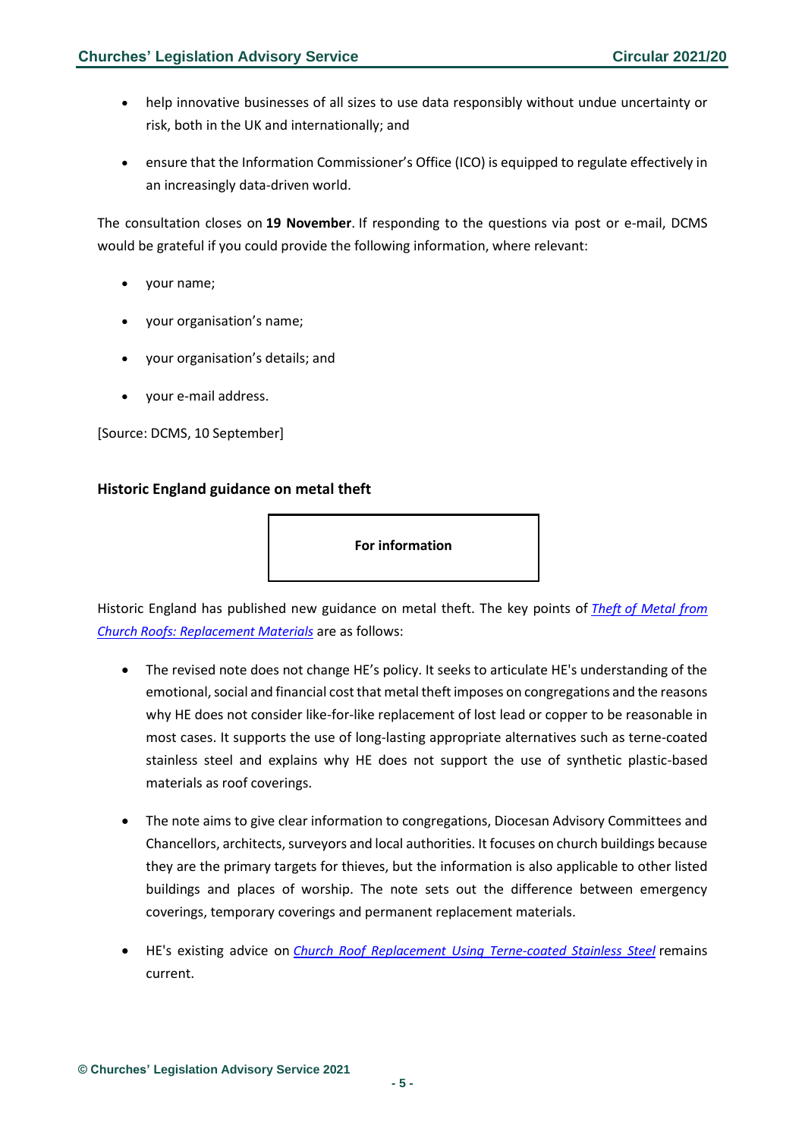- help innovative businesses of all sizes to use data responsibly without undue uncertainty or risk, both in the UK and internationally; and
- ensure that the Information Commissioner's Office (ICO) is equipped to regulate effectively in an increasingly data-driven world.

The consultation closes on **19 November**. If responding to the questions via post or e-mail, DCMS would be grateful if you could provide the following information, where relevant:

- your name;
- your organisation's name;
- your organisation's details; and
- your e-mail address.

[Source: DCMS, 10 September]

### <span id="page-4-0"></span>**Historic England guidance on metal theft**

**For information**

Historic England has published new guidance on metal theft. The key points of *[Theft](https://historicengland.org.uk/images-books/publications/theft-metal-church-roofs-replacement-materials/heag305-theft-metal-church-roofs-replacement-materials/) [of Metal from](https://historicengland.org.uk/images-books/publications/theft-metal-church-roofs-replacement-materials/heag305-theft-metal-church-roofs-replacement-materials/)  [Church Roofs: Replacement Materials](https://historicengland.org.uk/images-books/publications/theft-metal-church-roofs-replacement-materials/heag305-theft-metal-church-roofs-replacement-materials/)* are as follows:

- The revised note does not change HE's policy. It seeks to articulate HE's understanding of the emotional, social and financial cost that metal theft imposes on congregations and the reasons why HE does not consider like-for-like replacement of lost lead or copper to be reasonable in most cases. It supports the use of long-lasting appropriate alternatives such as terne-coated stainless steel and explains why HE does not support the use of synthetic plastic-based materials as roof coverings.
- The note aims to give clear information to congregations, Diocesan Advisory Committees and Chancellors, architects, surveyors and local authorities. It focuses on church buildings because they are the primary targets for thieves, but the information is also applicable to other listed buildings and places of worship. The note sets out the difference between emergency coverings, temporary coverings and permanent replacement materials.
- HE's existing advice on *[Church Roof Replacement Using Terne-coated Stainless Steel](https://historicengland.org.uk/images-books/publications/church-roof-replacement-terne-coated-stainless-steel/)* remains current.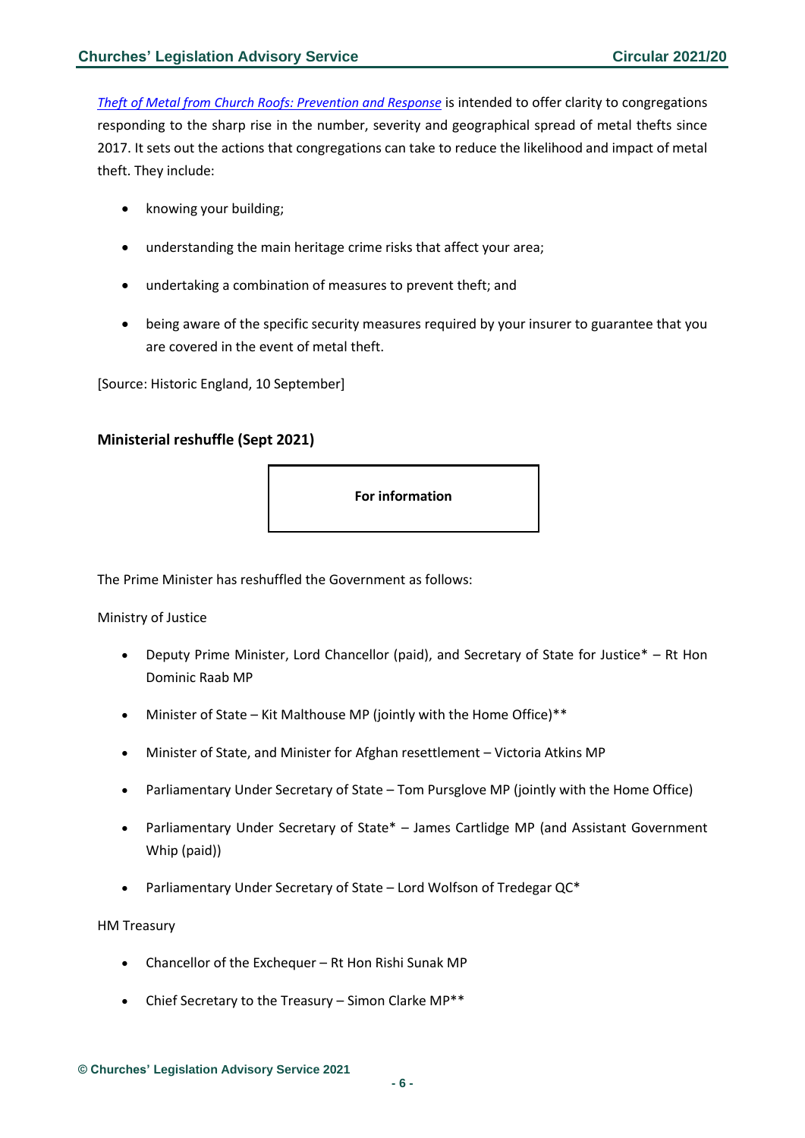*[Theft of Metal from Church Roofs: Prevention and Response](https://historicengland.org.uk/images-books/publications/theft-metal-church-roofs-prevention-response/)* is intended to offer clarity to congregations responding to the sharp rise in the number, severity and geographical spread of metal thefts since 2017. It sets out the actions that congregations can take to reduce the likelihood and impact of metal theft. They include:

- knowing your building;
- understanding the main heritage crime risks that affect your area;
- undertaking a combination of measures to prevent theft; and
- being aware of the specific security measures required by your insurer to guarantee that you are covered in the event of metal theft.

[Source: Historic England, 10 September]

### <span id="page-5-0"></span>**Ministerial reshuffle (Sept 2021)**

**For information**

The Prime Minister has reshuffled the Government as follows:

Ministry of Justice

- Deputy Prime Minister, Lord Chancellor (paid), and Secretary of State for Justice\* Rt Hon Dominic Raab MP
- Minister of State Kit Malthouse MP (jointly with the Home Office)\*\*
- Minister of State, and Minister for Afghan resettlement Victoria Atkins MP
- Parliamentary Under Secretary of State Tom Pursglove MP (jointly with the Home Office)
- Parliamentary Under Secretary of State\* James Cartlidge MP (and Assistant Government Whip (paid))
- Parliamentary Under Secretary of State Lord Wolfson of Tredegar QC\*

#### HM Treasury

- Chancellor of the Exchequer Rt Hon Rishi Sunak MP
- Chief Secretary to the Treasury Simon Clarke MP\*\*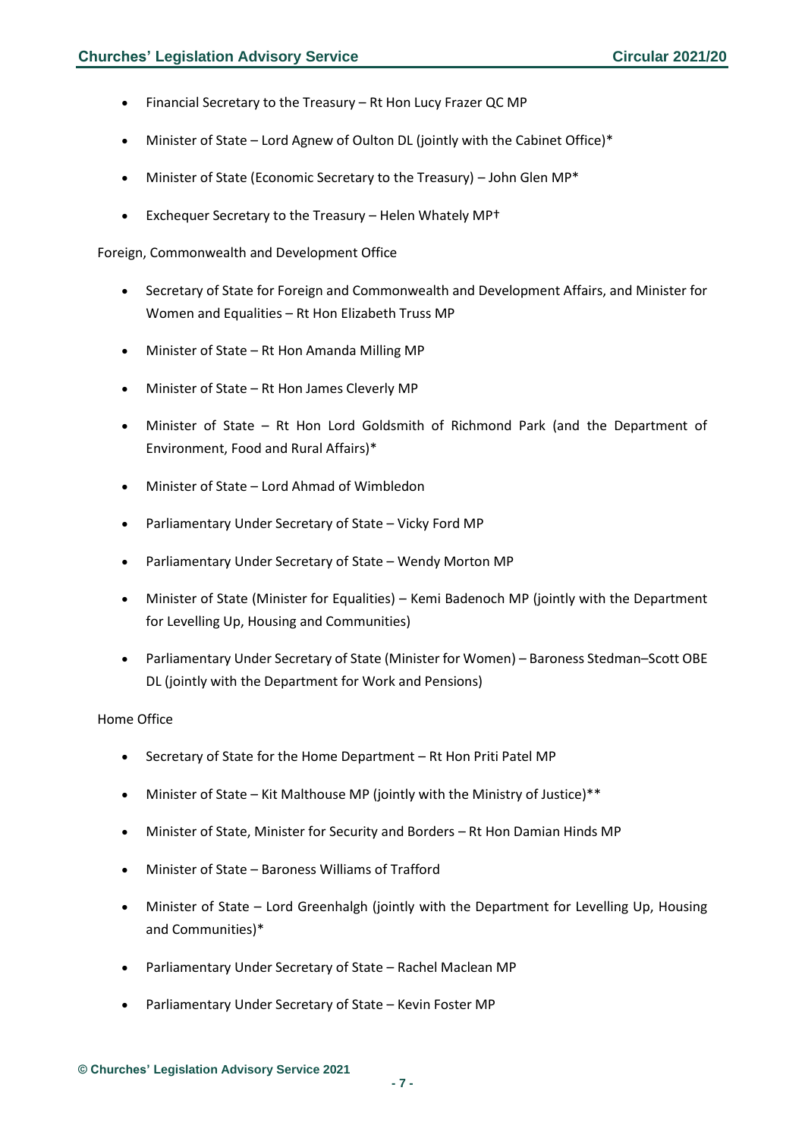- Financial Secretary to the Treasury Rt Hon Lucy Frazer QC MP
- Minister of State Lord Agnew of Oulton DL (jointly with the Cabinet Office)\*
- Minister of State (Economic Secretary to the Treasury) John Glen MP\*
- Exchequer Secretary to the Treasury Helen Whately MP†

Foreign, Commonwealth and Development Office

- Secretary of State for Foreign and Commonwealth and Development Affairs, and Minister for Women and Equalities – Rt Hon Elizabeth Truss MP
- Minister of State Rt Hon Amanda Milling MP
- Minister of State Rt Hon James Cleverly MP
- Minister of State Rt Hon Lord Goldsmith of Richmond Park (and the Department of Environment, Food and Rural Affairs)\*
- Minister of State Lord Ahmad of Wimbledon
- Parliamentary Under Secretary of State Vicky Ford MP
- Parliamentary Under Secretary of State Wendy Morton MP
- Minister of State (Minister for Equalities) Kemi Badenoch MP (jointly with the Department for Levelling Up, Housing and Communities)
- Parliamentary Under Secretary of State (Minister for Women) Baroness Stedman–Scott OBE DL (jointly with the Department for Work and Pensions)

#### Home Office

- Secretary of State for the Home Department Rt Hon Priti Patel MP
- Minister of State Kit Malthouse MP (jointly with the Ministry of Justice)\*\*
- Minister of State, Minister for Security and Borders Rt Hon Damian Hinds MP
- Minister of State Baroness Williams of Trafford
- Minister of State Lord Greenhalgh (jointly with the Department for Levelling Up, Housing and Communities)\*
- Parliamentary Under Secretary of State Rachel Maclean MP
- Parliamentary Under Secretary of State Kevin Foster MP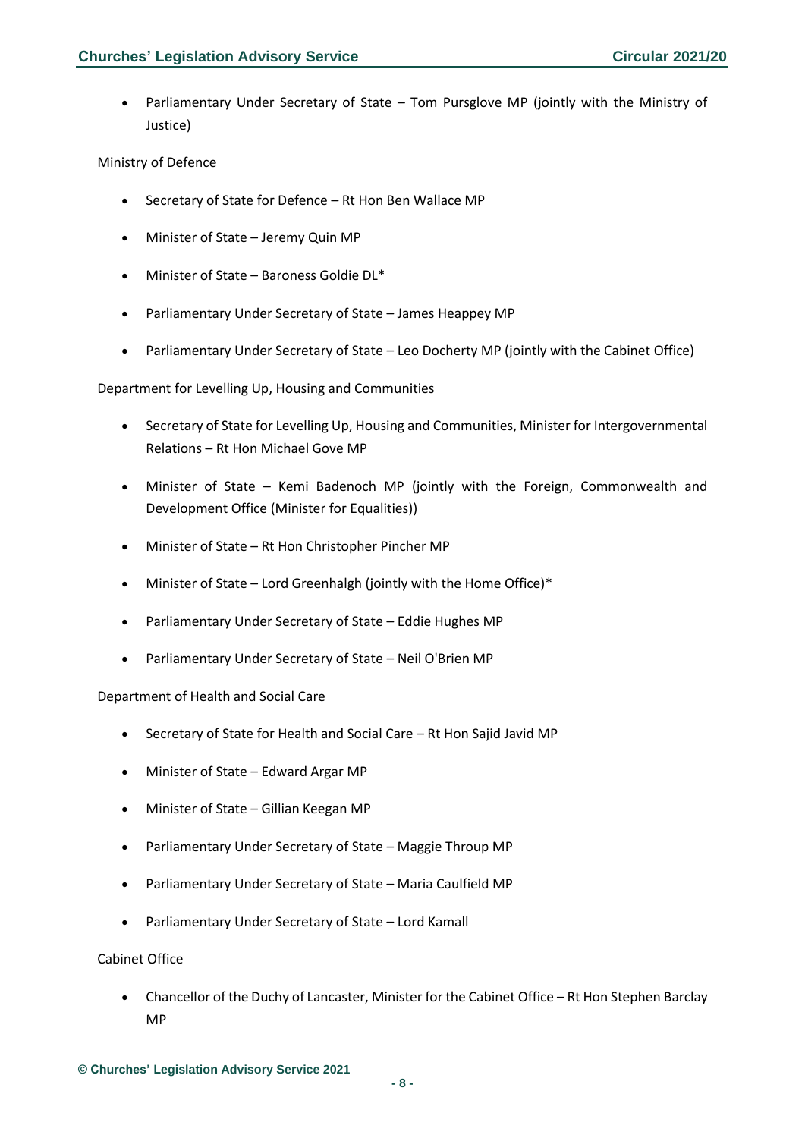• Parliamentary Under Secretary of State – Tom Pursglove MP (jointly with the Ministry of Justice)

### Ministry of Defence

- Secretary of State for Defence Rt Hon Ben Wallace MP
- Minister of State Jeremy Quin MP
- Minister of State Baroness Goldie DL\*
- Parliamentary Under Secretary of State James Heappey MP
- Parliamentary Under Secretary of State Leo Docherty MP (jointly with the Cabinet Office)

Department for Levelling Up, Housing and Communities

- Secretary of State for Levelling Up, Housing and Communities, Minister for Intergovernmental Relations – Rt Hon Michael Gove MP
- Minister of State Kemi Badenoch MP (jointly with the Foreign, Commonwealth and Development Office (Minister for Equalities))
- Minister of State Rt Hon Christopher Pincher MP
- Minister of State Lord Greenhalgh (jointly with the Home Office)\*
- Parliamentary Under Secretary of State Eddie Hughes MP
- Parliamentary Under Secretary of State Neil O'Brien MP

#### Department of Health and Social Care

- Secretary of State for Health and Social Care Rt Hon Sajid Javid MP
- Minister of State Edward Argar MP
- Minister of State Gillian Keegan MP
- Parliamentary Under Secretary of State Maggie Throup MP
- Parliamentary Under Secretary of State Maria Caulfield MP
- Parliamentary Under Secretary of State Lord Kamall

#### Cabinet Office

• Chancellor of the Duchy of Lancaster, Minister for the Cabinet Office – Rt Hon Stephen Barclay MP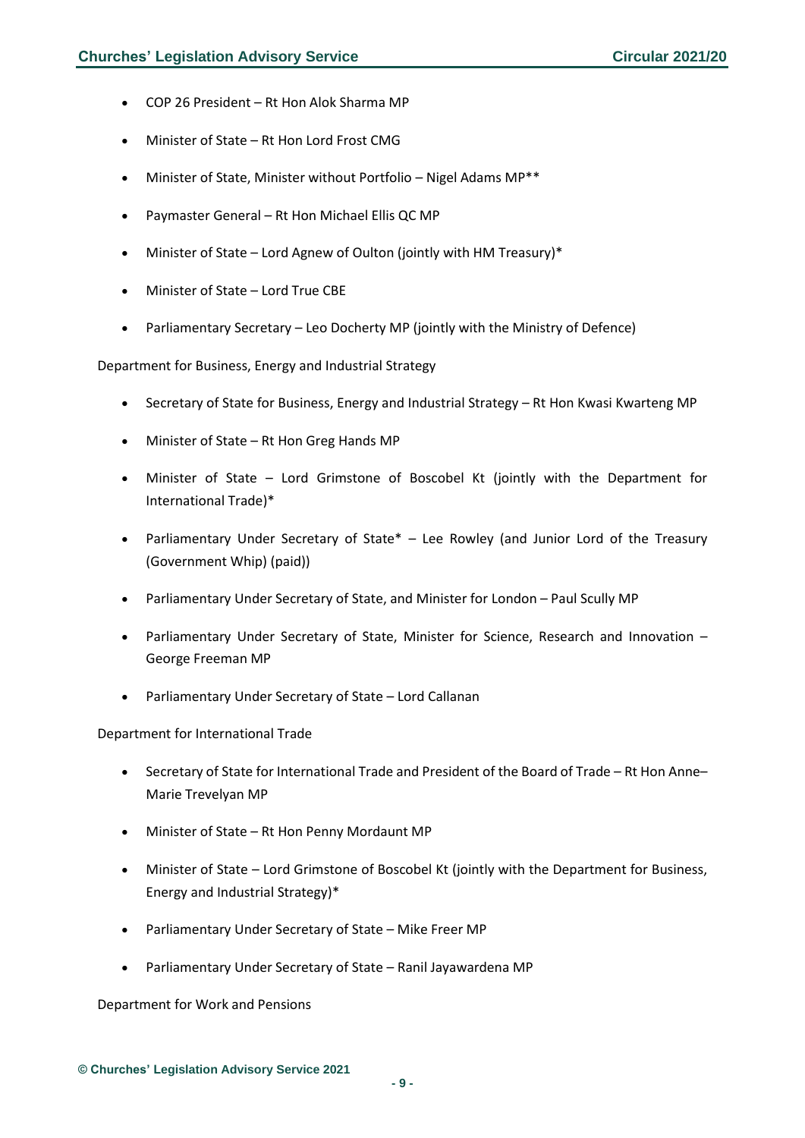- COP 26 President Rt Hon Alok Sharma MP
- Minister of State Rt Hon Lord Frost CMG
- Minister of State, Minister without Portfolio Nigel Adams MP\*\*
- Paymaster General Rt Hon Michael Ellis QC MP
- Minister of State Lord Agnew of Oulton (jointly with HM Treasury)\*
- Minister of State Lord True CBE
- Parliamentary Secretary Leo Docherty MP (jointly with the Ministry of Defence)

Department for Business, Energy and Industrial Strategy

- Secretary of State for Business, Energy and Industrial Strategy Rt Hon Kwasi Kwarteng MP
- Minister of State Rt Hon Greg Hands MP
- Minister of State Lord Grimstone of Boscobel Kt (jointly with the Department for International Trade)\*
- Parliamentary Under Secretary of State\* Lee Rowley (and Junior Lord of the Treasury (Government Whip) (paid))
- Parliamentary Under Secretary of State, and Minister for London Paul Scully MP
- Parliamentary Under Secretary of State, Minister for Science, Research and Innovation George Freeman MP
- Parliamentary Under Secretary of State Lord Callanan

Department for International Trade

- Secretary of State for International Trade and President of the Board of Trade Rt Hon Anne– Marie Trevelyan MP
- Minister of State Rt Hon Penny Mordaunt MP
- Minister of State Lord Grimstone of Boscobel Kt (jointly with the Department for Business, Energy and Industrial Strategy)\*
- Parliamentary Under Secretary of State Mike Freer MP
- Parliamentary Under Secretary of State Ranil Jayawardena MP

Department for Work and Pensions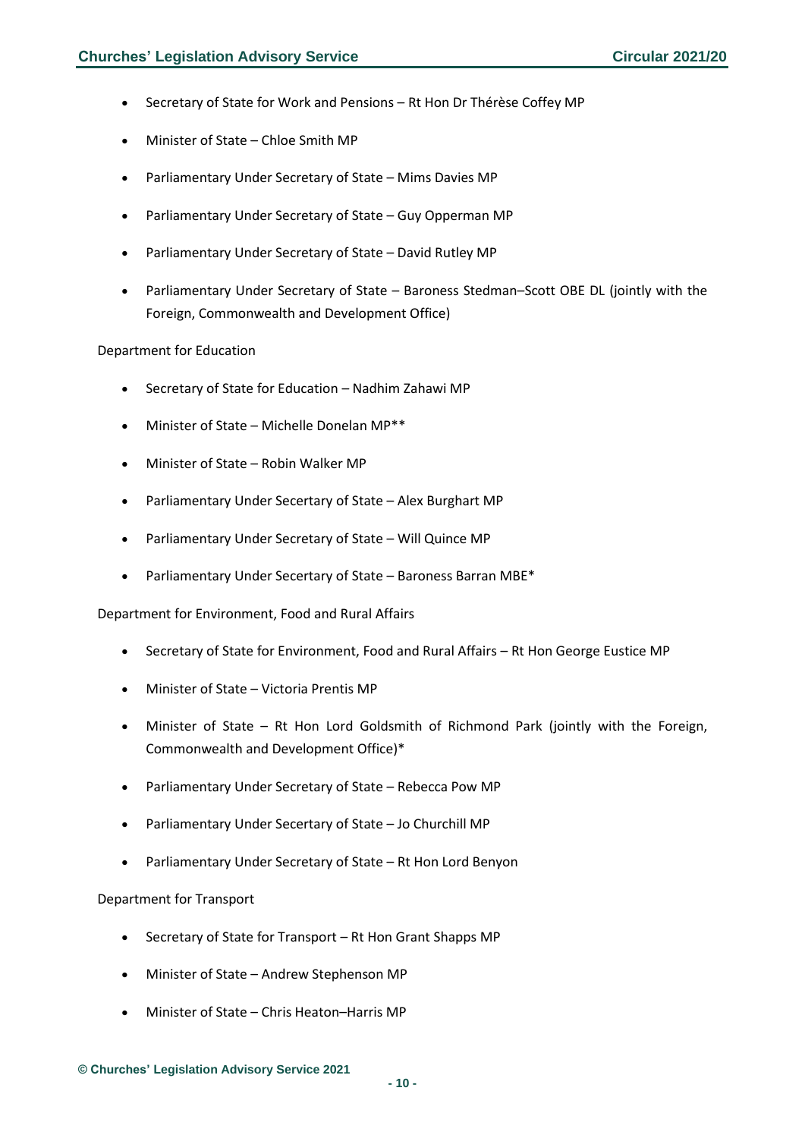- Secretary of State for Work and Pensions Rt Hon Dr Thérèse Coffey MP
- Minister of State Chloe Smith MP
- Parliamentary Under Secretary of State Mims Davies MP
- Parliamentary Under Secretary of State Guy Opperman MP
- Parliamentary Under Secretary of State David Rutley MP
- Parliamentary Under Secretary of State Baroness Stedman–Scott OBE DL (jointly with the Foreign, Commonwealth and Development Office)

#### Department for Education

- Secretary of State for Education Nadhim Zahawi MP
- Minister of State Michelle Donelan MP\*\*
- Minister of State Robin Walker MP
- Parliamentary Under Secertary of State Alex Burghart MP
- Parliamentary Under Secretary of State Will Quince MP
- Parliamentary Under Secertary of State Baroness Barran MBE\*

Department for Environment, Food and Rural Affairs

- Secretary of State for Environment, Food and Rural Affairs Rt Hon George Eustice MP
- Minister of State Victoria Prentis MP
- Minister of State Rt Hon Lord Goldsmith of Richmond Park (jointly with the Foreign, Commonwealth and Development Office)\*
- Parliamentary Under Secretary of State Rebecca Pow MP
- Parliamentary Under Secertary of State Jo Churchill MP
- Parliamentary Under Secretary of State Rt Hon Lord Benyon

#### Department for Transport

- Secretary of State for Transport Rt Hon Grant Shapps MP
- Minister of State Andrew Stephenson MP
- Minister of State Chris Heaton–Harris MP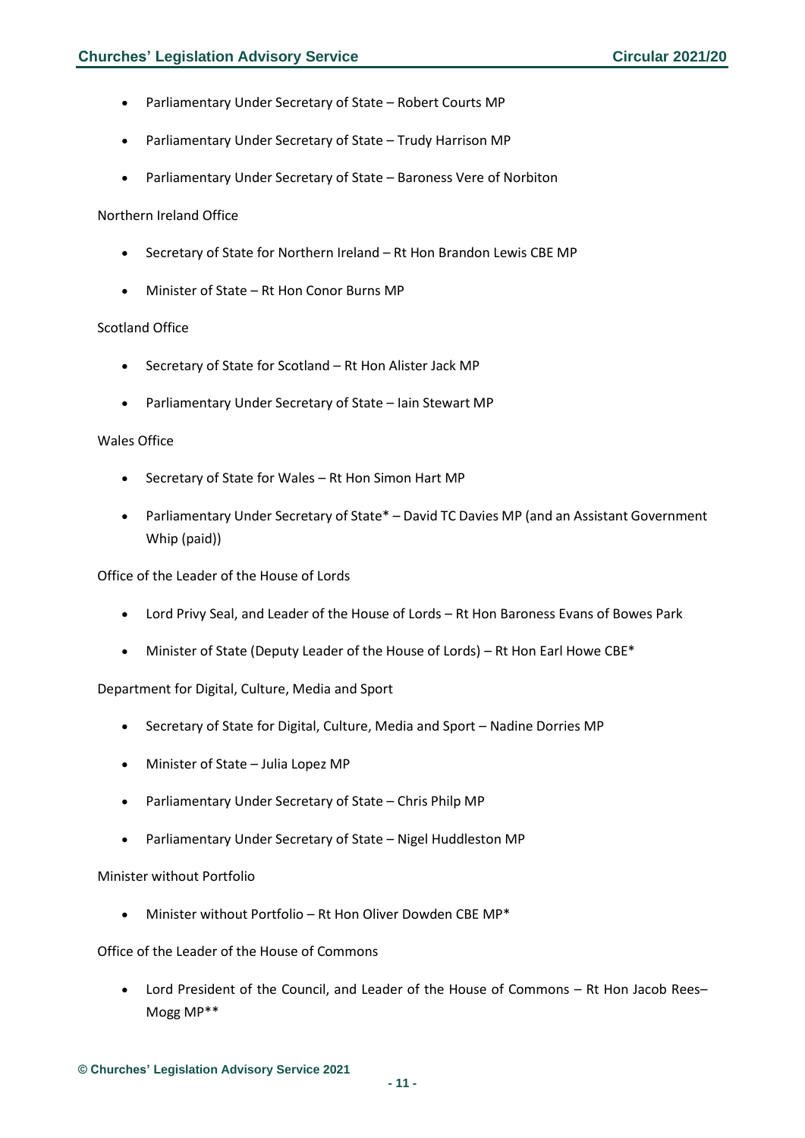- Parliamentary Under Secretary of State Robert Courts MP
- Parliamentary Under Secretary of State Trudy Harrison MP
- Parliamentary Under Secretary of State Baroness Vere of Norbiton

#### Northern Ireland Office

- Secretary of State for Northern Ireland Rt Hon Brandon Lewis CBE MP
- Minister of State Rt Hon Conor Burns MP

#### Scotland Office

- Secretary of State for Scotland Rt Hon Alister Jack MP
- Parliamentary Under Secretary of State Iain Stewart MP

#### Wales Office

- Secretary of State for Wales Rt Hon Simon Hart MP
- Parliamentary Under Secretary of State\* David TC Davies MP (and an Assistant Government Whip (paid))

#### Office of the Leader of the House of Lords

- Lord Privy Seal, and Leader of the House of Lords Rt Hon Baroness Evans of Bowes Park
- Minister of State (Deputy Leader of the House of Lords) Rt Hon Earl Howe CBE\*

#### Department for Digital, Culture, Media and Sport

- Secretary of State for Digital, Culture, Media and Sport Nadine Dorries MP
- Minister of State Julia Lopez MP
- Parliamentary Under Secretary of State Chris Philp MP
- Parliamentary Under Secretary of State Nigel Huddleston MP

#### Minister without Portfolio

• Minister without Portfolio – Rt Hon Oliver Dowden CBE MP\*

Office of the Leader of the House of Commons

• Lord President of the Council, and Leader of the House of Commons – Rt Hon Jacob Rees– Mogg MP\*\*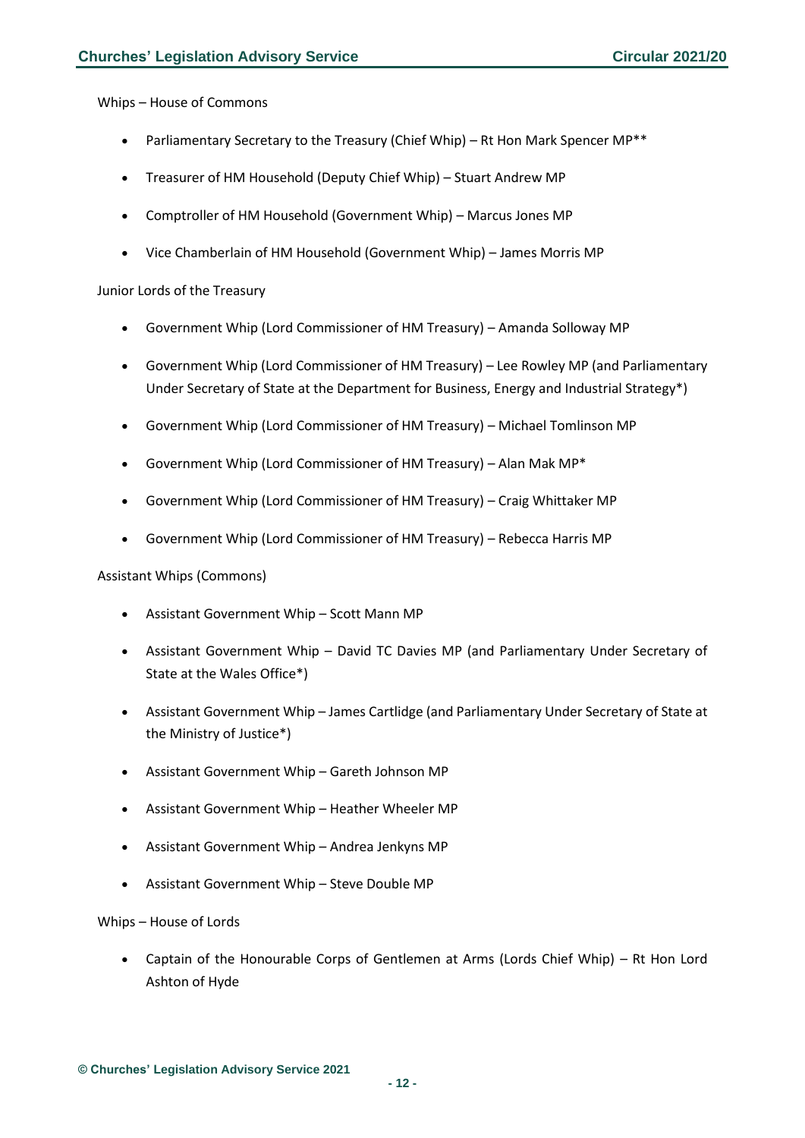Whips – House of Commons

- Parliamentary Secretary to the Treasury (Chief Whip) Rt Hon Mark Spencer MP\*\*
- Treasurer of HM Household (Deputy Chief Whip) Stuart Andrew MP
- Comptroller of HM Household (Government Whip) Marcus Jones MP
- Vice Chamberlain of HM Household (Government Whip) James Morris MP

#### Junior Lords of the Treasury

- Government Whip (Lord Commissioner of HM Treasury) Amanda Solloway MP
- Government Whip (Lord Commissioner of HM Treasury) Lee Rowley MP (and Parliamentary Under Secretary of State at the Department for Business, Energy and Industrial Strategy\*)
- Government Whip (Lord Commissioner of HM Treasury) Michael Tomlinson MP
- Government Whip (Lord Commissioner of HM Treasury) Alan Mak MP\*
- Government Whip (Lord Commissioner of HM Treasury) Craig Whittaker MP
- Government Whip (Lord Commissioner of HM Treasury) Rebecca Harris MP

#### Assistant Whips (Commons)

- Assistant Government Whip Scott Mann MP
- Assistant Government Whip David TC Davies MP (and Parliamentary Under Secretary of State at the Wales Office\*)
- Assistant Government Whip James Cartlidge (and Parliamentary Under Secretary of State at the Ministry of Justice\*)
- Assistant Government Whip Gareth Johnson MP
- Assistant Government Whip Heather Wheeler MP
- Assistant Government Whip Andrea Jenkyns MP
- Assistant Government Whip Steve Double MP

#### Whips – House of Lords

• Captain of the Honourable Corps of Gentlemen at Arms (Lords Chief Whip) – Rt Hon Lord Ashton of Hyde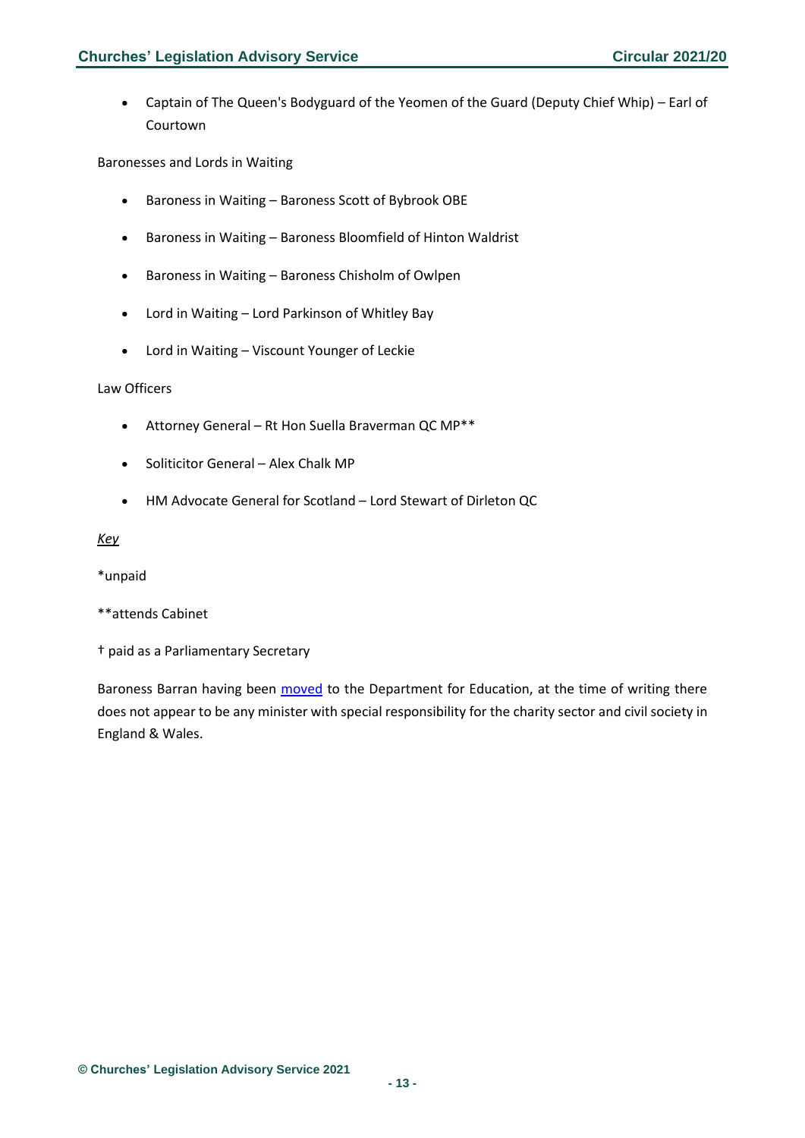• Captain of The Queen's Bodyguard of the Yeomen of the Guard (Deputy Chief Whip) – Earl of Courtown

Baronesses and Lords in Waiting

- Baroness in Waiting Baroness Scott of Bybrook OBE
- Baroness in Waiting Baroness Bloomfield of Hinton Waldrist
- Baroness in Waiting Baroness Chisholm of Owlpen
- Lord in Waiting Lord Parkinson of Whitley Bay
- Lord in Waiting Viscount Younger of Leckie

#### Law Officers

- Attorney General Rt Hon Suella Braverman QC MP\*\*
- Soliticitor General Alex Chalk MP
- HM Advocate General for Scotland Lord Stewart of Dirleton QC

#### *Key*

\*unpaid

- \*\*attends Cabinet
- † paid as a Parliamentary Secretary

Baroness Barran having been [moved](https://www.civilsociety.co.uk/news/charities-minister-moved-to-education-department-in-reshuffle.html) to the Department for Education, at the time of writing there does not appear to be any minister with special responsibility for the charity sector and civil society in England & Wales.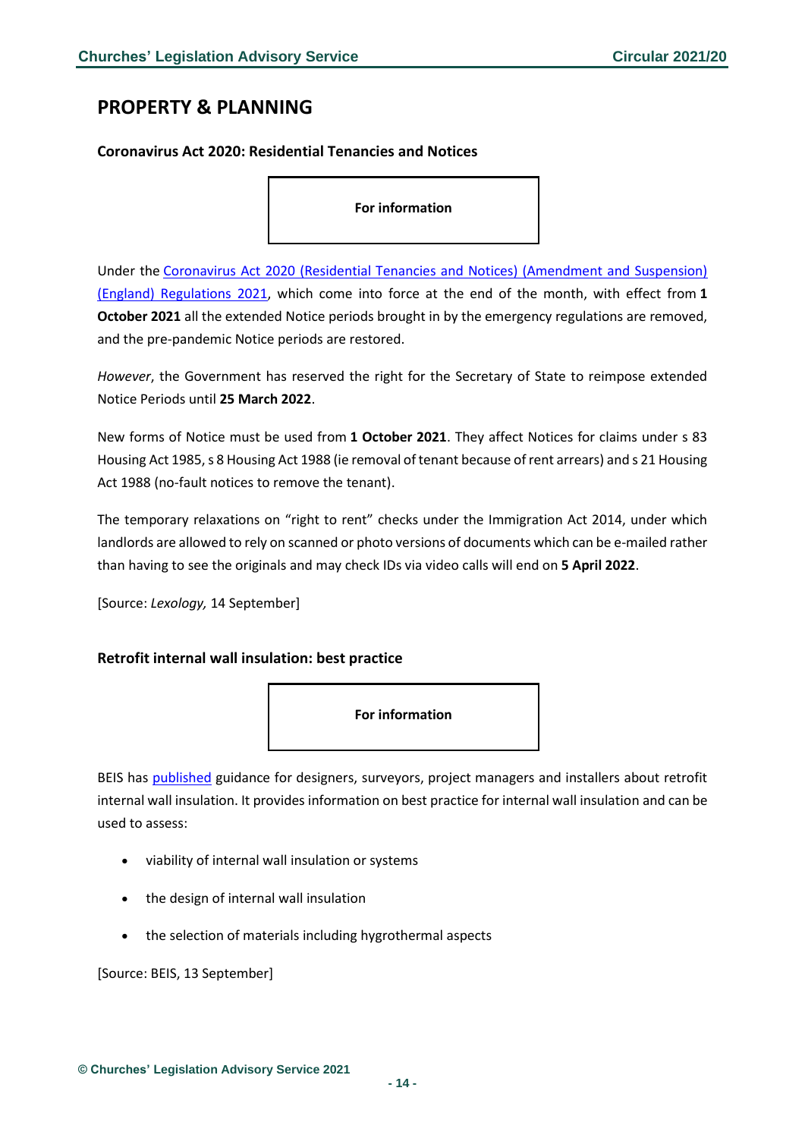# <span id="page-13-0"></span>**PROPERTY & PLANNING**

### <span id="page-13-1"></span>**Coronavirus Act 2020: Residential Tenancies and Notices**

**For information**

Under the [Coronavirus Act 2020 \(Residential Tenancies and Notices\) \(Amendment and Suspension\)](https://www.legislation.gov.uk/uksi/2021/994/made)  [\(England\) Regulations 2021,](https://www.legislation.gov.uk/uksi/2021/994/made) which come into force at the end of the month, with effect from **1 October 2021** all the extended Notice periods brought in by the emergency regulations are removed, and the pre-pandemic Notice periods are restored.

*However*, the Government has reserved the right for the Secretary of State to reimpose extended Notice Periods until **25 March 2022**.

New forms of Notice must be used from **1 October 2021**. They affect Notices for claims under s 83 Housing Act 1985, s 8 Housing Act 1988 (ie removal of tenant because of rent arrears) and s 21 Housing Act 1988 (no-fault notices to remove the tenant).

The temporary relaxations on "right to rent" checks under the Immigration Act 2014, under which landlords are allowed to rely on scanned or photo versions of documents which can be e-mailed rather than having to see the originals and may check IDs via video calls will end on **5 April 2022**.

[Source: *Lexology,* 14 September]

### <span id="page-13-2"></span>**Retrofit internal wall insulation: best practice**



BEIS has [published](https://www.gov.uk/government/publications/retrofit-internal-wall-insulation-best-practice?utm_medium=email&utm_campaign=govuk-notifications&utm_source=3b8f0432-2021-4d31-b853-08f71faa4ace&utm_content=daily) guidance for designers, surveyors, project managers and installers about retrofit internal wall insulation. It provides information on best practice for internal wall insulation and can be used to assess:

- viability of internal wall insulation or systems
- the design of internal wall insulation
- the selection of materials including hygrothermal aspects

[Source: BEIS, 13 September]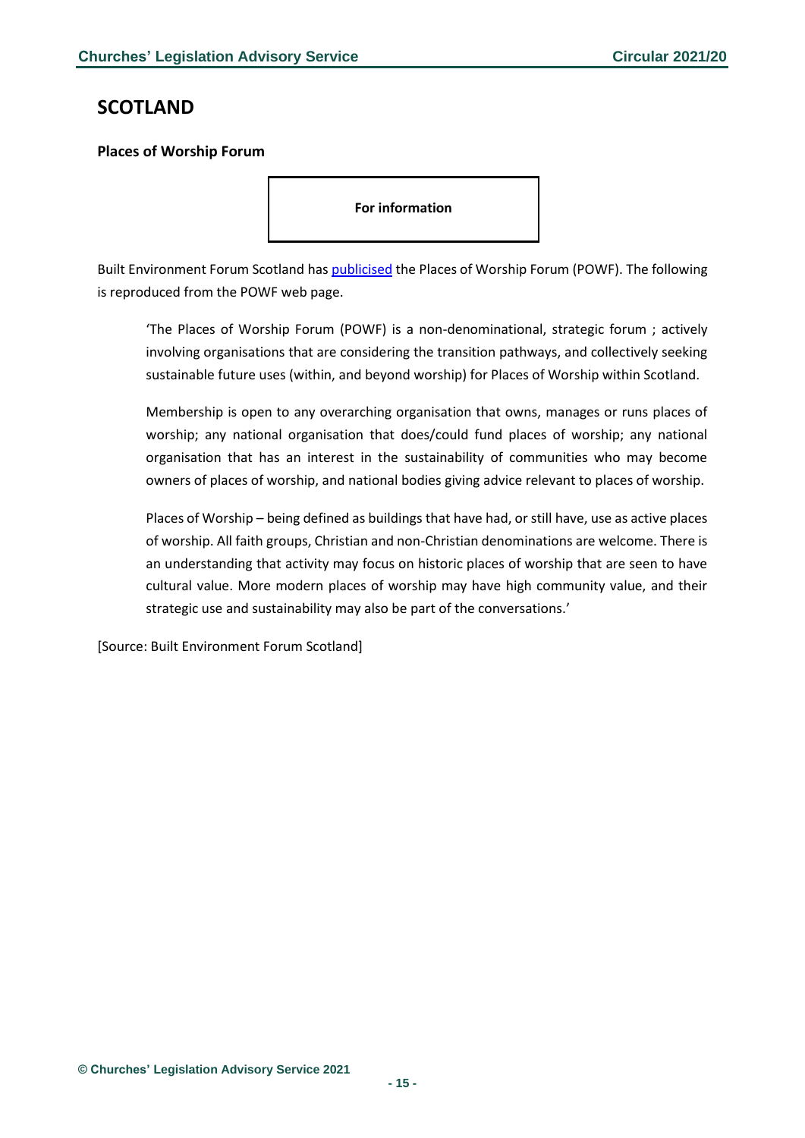# <span id="page-14-0"></span>**SCOTLAND**

## <span id="page-14-1"></span>**Places of Worship Forum**

**For information**

Built Environment Forum Scotland has [publicised](https://www.befs.org.uk/policy-topics/places-of-worship-forum/) the Places of Worship Forum (POWF). The following is reproduced from the POWF web page.

'The Places of Worship Forum (POWF) is a non-denominational, strategic forum ; actively involving organisations that are considering the transition pathways, and collectively seeking sustainable future uses (within, and beyond worship) for Places of Worship within Scotland.

Membership is open to any overarching organisation that owns, manages or runs places of worship; any national organisation that does/could fund places of worship; any national organisation that has an interest in the sustainability of communities who may become owners of places of worship, and national bodies giving advice relevant to places of worship.

Places of Worship – being defined as buildings that have had, or still have, use as active places of worship. All faith groups, Christian and non-Christian denominations are welcome. There is an understanding that activity may focus on historic places of worship that are seen to have cultural value. More modern places of worship may have high community value, and their strategic use and sustainability may also be part of the conversations.'

[Source: Built Environment Forum Scotland]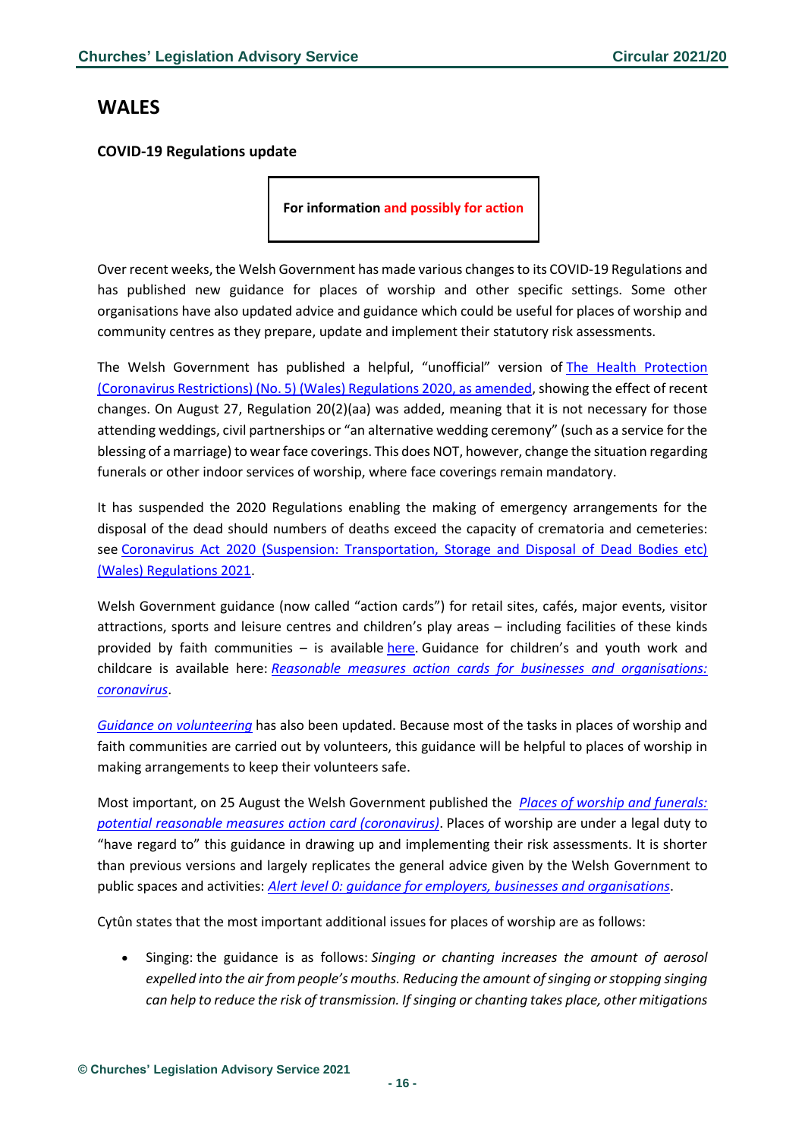# <span id="page-15-0"></span>**WALES**

# <span id="page-15-1"></span>**COVID-19 Regulations update**

**For information and possibly for action**

Over recent weeks, the Welsh Government has made various changes to its COVID-19 Regulations and has published new guidance for places of worship and other specific settings. Some other organisations have also updated advice and guidance which could be useful for places of worship and community centres as they prepare, update and implement their statutory risk assessments.

The Welsh Government has published a helpful, "unofficial" version of The Health Protection [\(Coronavirus Restrictions\) \(No. 5\) \(Wales\) Regulations 2020, as amended,](https://gov.wales/sites/default/files/publications/2021-08/the-health-protection-coronavirus-restrictions-no-5-wales-regulations-2020-as-amended.pdf) showing the effect of recent changes. On August 27, Regulation 20(2)(aa) was added, meaning that it is not necessary for those attending weddings, civil partnerships or "an alternative wedding ceremony" (such as a service for the blessing of a marriage) to wear face coverings. This does NOT, however, change the situation regarding funerals or other indoor services of worship, where face coverings remain mandatory.

It has suspended the 2020 Regulations enabling the making of emergency arrangements for the disposal of the dead should numbers of deaths exceed the capacity of crematoria and cemeteries: see [Coronavirus Act 2020 \(Suspension: Transportation, Storage and Disposal of Dead Bodies etc\)](https://gov.wales/coronavirus-act-2020-suspension-transportation-storage-and-disposal-dead-bodies-etc-wales)  [\(Wales\) Regulations 2021.](https://gov.wales/coronavirus-act-2020-suspension-transportation-storage-and-disposal-dead-bodies-etc-wales)

Welsh Government guidance (now called "action cards") for retail sites, cafés, major events, visitor attractions, sports and leisure centres and children's play areas – including facilities of these kinds provided by faith communities – is available [here.](https://gov.wales/reasonable-measures-action-cards-businesses-and-organisations-coronavirus) Guidance for children's and youth work and childcare is available here: *[Reasonable measures action cards for businesses and organisations:](https://gov.wales/reasonable-measures-action-cards-businesses-and-organisations-coronavirus)  [coronavirus](https://gov.wales/reasonable-measures-action-cards-businesses-and-organisations-coronavirus)*.

*[Guidance on volunteering](https://gov.wales/volunteering-during-coronavirus-pandemic)* has also been updated. Because most of the tasks in places of worship and faith communities are carried out by volunteers, this guidance will be helpful to places of worship in making arrangements to keep their volunteers safe.

Most important, on 25 August the Welsh Government published the *[Places of worship and funerals:](https://gov.wales/places-worship-and-funerals-potential-reasonable-measures-action-card-coronavirus-html)  [potential reasonable measures](https://gov.wales/places-worship-and-funerals-potential-reasonable-measures-action-card-coronavirus-html) action card (coronavirus)*. Places of worship are under a legal duty to "have regard to" this guidance in drawing up and implementing their risk assessments. It is shorter than previous versions and largely replicates the general advice given by the Welsh Government to public spaces and activities: *[Alert level 0: guidance for employers, businesses and organisations](https://gov.wales/alert-level-0-guidance-employers-businesses-and-organisations-html)*.

Cytûn states that the most important additional issues for places of worship are as follows:

• Singing: the guidance is as follows: *Singing or chanting increases the amount of aerosol expelled into the air from people's mouths. Reducing the amount of singing or stopping singing can help to reduce the risk of transmission. If singing or chanting takes place, other mitigations*